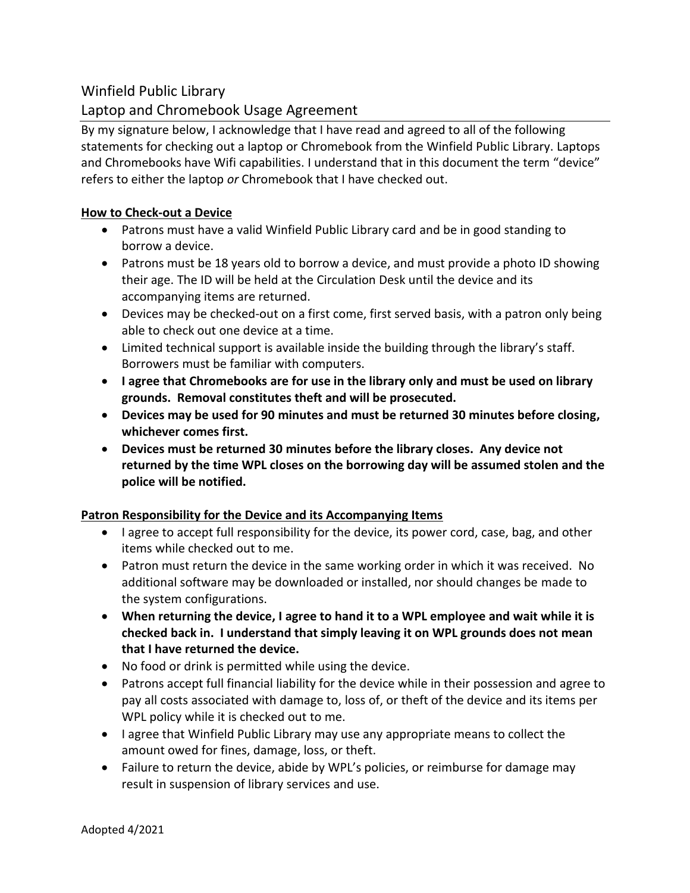# Winfield Public Library

# Laptop and Chromebook Usage Agreement

By my signature below, I acknowledge that I have read and agreed to all of the following statements for checking out a laptop or Chromebook from the Winfield Public Library. Laptops and Chromebooks have Wifi capabilities. I understand that in this document the term "device" refers to either the laptop *or* Chromebook that I have checked out.

### **How to Check-out a Device**

- Patrons must have a valid Winfield Public Library card and be in good standing to borrow a device.
- Patrons must be 18 years old to borrow a device, and must provide a photo ID showing their age. The ID will be held at the Circulation Desk until the device and its accompanying items are returned.
- Devices may be checked-out on a first come, first served basis, with a patron only being able to check out one device at a time.
- Limited technical support is available inside the building through the library's staff. Borrowers must be familiar with computers.
- **I agree that Chromebooks are for use in the library only and must be used on library grounds. Removal constitutes theft and will be prosecuted.**
- **Devices may be used for 90 minutes and must be returned 30 minutes before closing, whichever comes first.**
- **Devices must be returned 30 minutes before the library closes. Any device not returned by the time WPL closes on the borrowing day will be assumed stolen and the police will be notified.**

### **Patron Responsibility for the Device and its Accompanying Items**

- I agree to accept full responsibility for the device, its power cord, case, bag, and other items while checked out to me.
- Patron must return the device in the same working order in which it was received. No additional software may be downloaded or installed, nor should changes be made to the system configurations.
- **When returning the device, I agree to hand it to a WPL employee and wait while it is checked back in. I understand that simply leaving it on WPL grounds does not mean that I have returned the device.**
- No food or drink is permitted while using the device.
- Patrons accept full financial liability for the device while in their possession and agree to pay all costs associated with damage to, loss of, or theft of the device and its items per WPL policy while it is checked out to me.
- I agree that Winfield Public Library may use any appropriate means to collect the amount owed for fines, damage, loss, or theft.
- Failure to return the device, abide by WPL's policies, or reimburse for damage may result in suspension of library services and use.